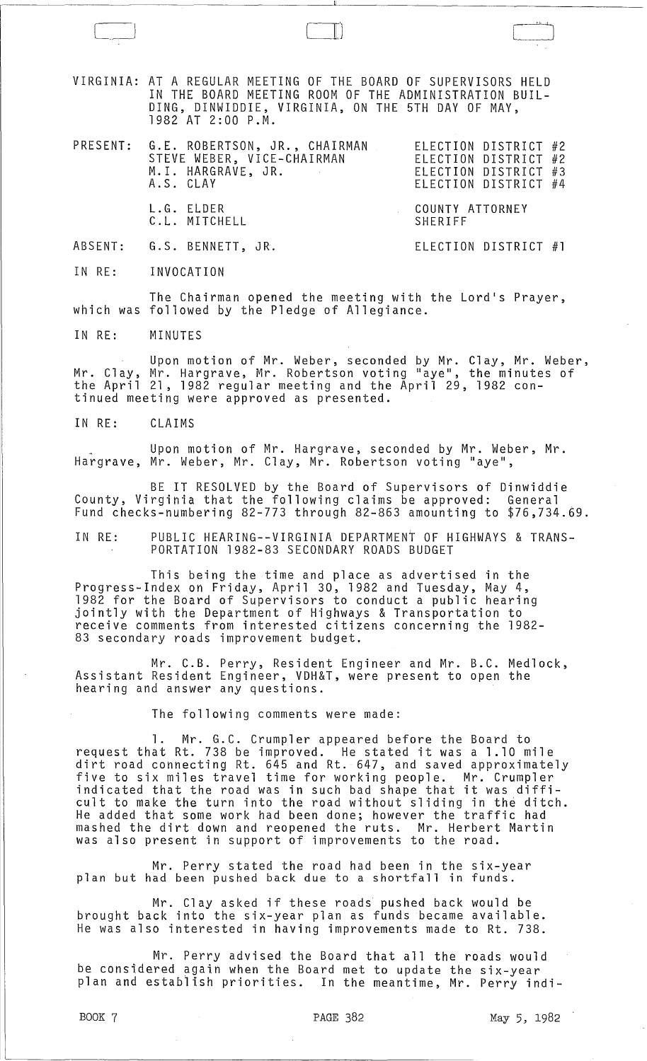VIRGINIA: AT A REGULAR MEETING OF THE BOARD OF SUPERVISORS HELD IN THE BOARD MEETING ROOM OF THE ADMINISTRATION BUIL-DING, DINWIDDIE, VIRGINIA, ON THE 5TH DAY OF MAY, 1982 AT 2:00 P.M.

PRESENT: G.E. ROBERTSON, JR., CHAIRMAN STEVE WEBER, VICE-CHAIRMAN M. I. HARGRAVE, JR. A.S. CLAY ELECTION DISTRICT #2 ELECTION DISTRICT ELECTION DISTRICT ELECTION DISTRICT #2 #3 #4

COUNTY ATTORNEY

ELECTION DISTRICT #1

SHERIFF

L.G. ELDER C.L. MITCHELL

 $\Box$ 

ABSENT: G.S. BENNETT, JR.

IN RE: INVOCATION

The Chairman opened the meeting with the Lord's Prayer, which was followed by the Pledge of Allegiance.

IN RE: MINUTES

Upon motion of Mr. Weber, seconded by Mr. Clay, Mr. Weber, Mr. Clay, Mr. Hargrave, Mr. Robertson voting "aye", the minutes of the April 21, 1982 regular meeting and the April 29, 1982 continued meeting were approved as presented.

IN RE: CLAIMS

Upon motion of Mr. Hargrave, seconded by Mr. Weber, Mr. Hargrave, Mr. Weber, Mr. Clay, Mr. Robertson voting "aye",

BE IT RESOLVED by the Board of Supervisors of Dinwiddie County, Virginia that the following claims be approved: General Fund checks-numbering 82-773 through 82-863 amounting to \$76,734.69.

IN RE: PUBLIC HEARING--VIRGINIA DEPARTMENT OF HIGHWAYS & TRANS-PORTATION 1982-83 SECONDARY ROADS BUDGET

This being the time and place as advertised in the Progress-Index on Friday, April 30, 1982 and Tuesday, May 4, 1982 for the Board of Supervisors to conduct a public hearing jointly with the Department of Highways & Transportation to receive comments from interested citizens concerning the 1982- 83 secondary roads improvement budget.

Mr. C.B. Perry, Resident Engineer and Mr. B.C. Medlock, Assistant Resident Engineer, VDH&T, were present to open the hearing and answer any questions.

The following comments were made:

1. Mr. G.C. Crumpler appeared before the Board to request that Rt. 738 be improved. He stated it was a 1.10 mile dirt road connecting Rt. 645 and Rt. 647, and saved approximately five to six miles travel time for working people. Mr. Crumpler indicated that the road was in such bad shape that it was difficult to make the turn into the road without sliding in the ditch. He added that some work had been done; however the traffic had mashed the dirt down and reopened the ruts. Mr. Herbert Martin was also present in support of improvements to the road.

Mr. Perry stated the road had been in the six-year plan but had been pushed back due to a shortfall in funds.

Mr. Clay asked if these roads pushed back would be brought back into the six-year plan as funds became available. He was also interested in having improvements made to Rt. 738.

Mr. Perry advised the Board that all the roads would be considered again when the Board met to update the six-year plan and establish priorities. In the meantime, Mr. Perry indi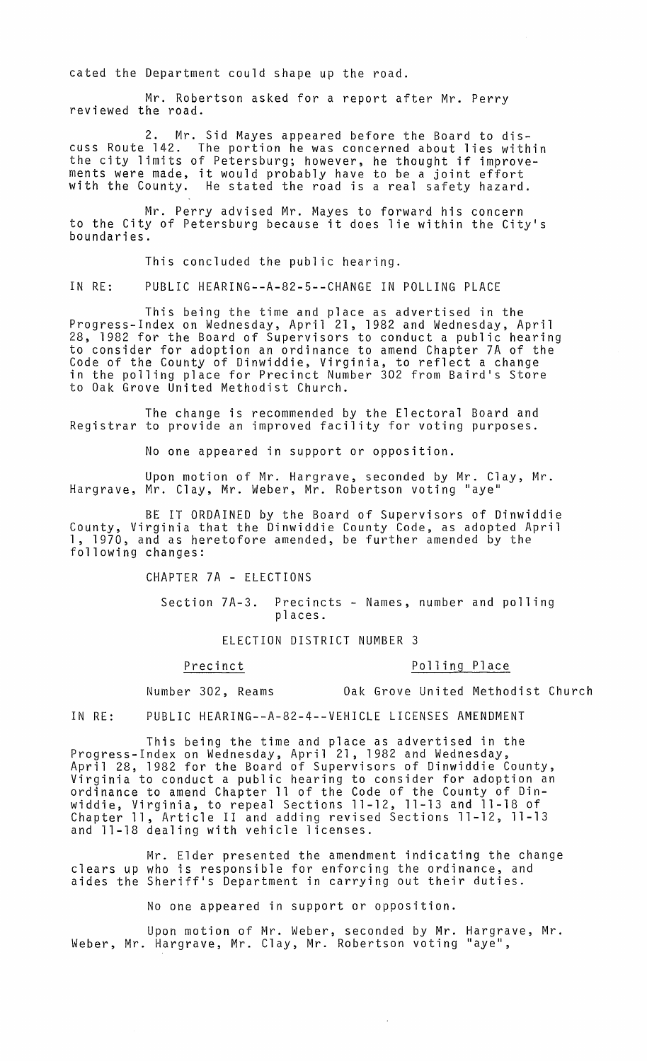cated the Department could shape up the road.

Mr. Robertson asked for a report after Mr. Perry<br>reviewed the road.

2. Mr. Sid Mayes appeared before the Board to discuss Route 142. The portion he was concerned about lies within the city limits of Petersburg; however, he thought if improvements were made, it would probably have to be a joint effort<br>with the County. He stated the road is a real safety hazard. He stated the road is a real safety hazard.

Mr. Perry advised Mr. Mayes to forward his concern to the City of Petersburg because it does lie within the City's boundaries.

This concluded the public hearing.

IN RE: PUBLIC HEARING--A-82-5--CHANGE IN POLLING PLACE

This being the time and place as advertised in the Progress-Index on Wednesday, April 21, 1982 and Wednesday, April 28, 1982 for the Board of Supervisors to conduct a public hearing to consider for adoption an ordinance to amend Chapter 7A of the Code of the County of Dinwiddie, Virginia, to reflect a change in the polling place for Precinct Number 302 from Baird's Store to Oak Grove United Methodist Church.

The change is recommended by the Electoral Board and Registrar to provide an improved facility for voting purposes.

No one appeared in support or opposition.

Upon motion of Mr. Hargrave, seconded by Mr. Clay, Mr. Hargrave, Mr. Clay, Mr. Weber, Mr. Robertson voting "aye'

BE IT ORDAINED by the Board of Supervisors of Dinwiddie County, Virginia that the Dinwiddie County Code, as adopted April 1, 1970, and as heretofore amended, be further amended by the following changes:

CHAPTER 7A - ELECTIONS

Section 7A-3. Precincts - Names, number and polling places.

ELECTION DISTRICT NUMBER 3

## Precinct Polling Place

Number 302, Reams Oak Grove United Methodist Church

IN RE: PUBLIC HEARING--A-82-4--VEHICLE LICENSES AMENDMENT

This being the time and place as advertised in the Progress-Index on Wednesday, April 21, 1982 and Wednesday, April 28, 1982 for the Board of Supervisors of Dinwiddie County, Virginia to conduct a public hearing to consider for adoption an ordinance to amend Chapter 11 of the Code of the County of Dinwiddie, Virginia, to repeal Sections 11-12, 11-13 and 11-18 of Chapter 11, Article II and adding revised Sections 11-12, 11-13 and 11-18 dealing with vehicle licenses.

Mr. Elder presented the amendment indicating the change clears up who is responsible for enforcing the ordinance, and aides the Sheriff's Department in carrying out their duties.

No one appeared in support or opposition.

Upon motion of Mr. Weber, seconded by Mr. Hargrave, Mr. Weber, Mr. Hargrave, Mr. Clay, Mr. Robertson voting "aye",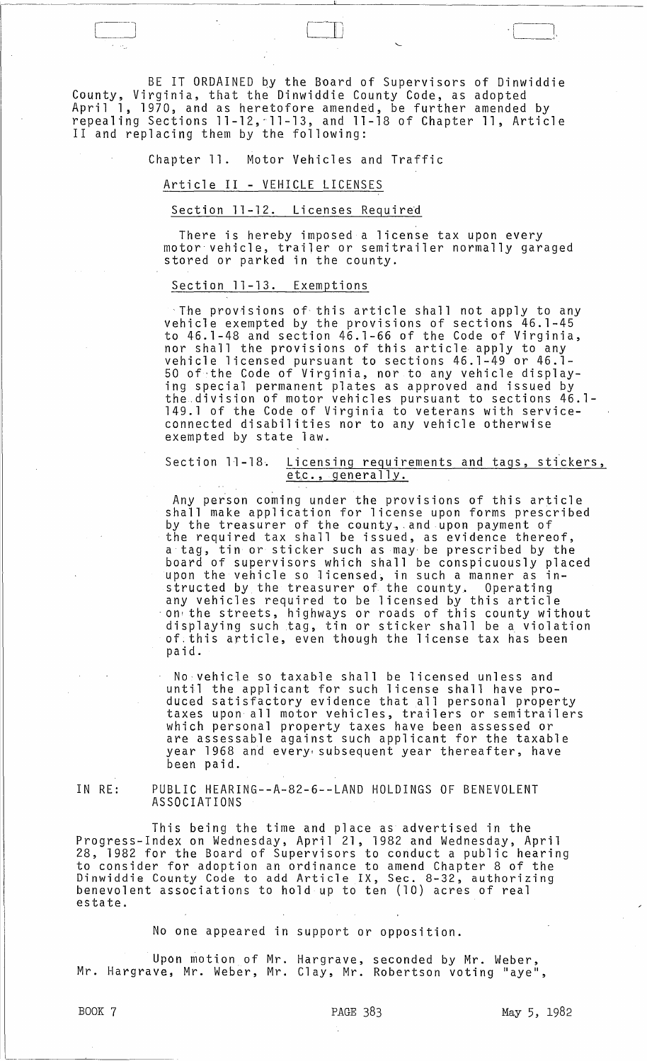BE IT ORDAINED by the Board of Supervisors of Dinwiddie County, Virginia, that the Dinwiddie County Code, as adopted April 1, 1970, and as heretofore amended, be further amended by repealing Sections 11-12,-11-13, and 11-18 of Chapter 11, Article II and replacing them by the following:

Chapter 11. Motor Vehicles and Traffic

Article II - VEHICLE LICENSES

## Section 11-12. Licenses Required

There is hereby imposed a license tax upon every motor' vehicle, trailer or semitrailer normally garaged stored or parked in the county.

## Section 11-13. Exemptions

The provisions of- this article shall not apply to any vehicle exempted by the provisions of sections 46.1-45 to 46.1-48 and section 46.1-66 of the Code of Virginia, nor shall the provisions of this article apply to any vehicle licensed pursuant to sections 46.1-49 or 46.1- 50 of ' the Code of Virginia, nor to any vehicle displaying special permanent plates as approved and issued by the division of motor vehicles pursuant to sections 46.1- 149.1 of the Code of Virginia to veterans with serviceconnected disabilities nor to any vehicle otherwise exempted by state law.

Section 11-18. Licensing requirements and tags, stickers, etc., generally.

Any person coming under the provisions of this article<br>shall make application for license upon forms prescribed shall make application for license upon forms prescribed<br>by the treasurer of the county, and upon payment of the required tax shall be issued, as evidence thereof, a tag, tin or sticker such as may· be prescribed by the board of supervisors which shall be conspicuously placed upon the vehicle so licensed~ in such a manner as instructed by the treasurer of the county. Operating any vehicles required to be licensed by this article<br>- on the streets, highways or roads of this county without displaying such tag, tin or sticker shall be a violation of.this article, even th0ugh the license tax has been paid.

 $No:$  vehicle so taxable shall be licensed unless and until the applicant for such license shall have produced satisfactory evidence that all personal property taxes upon all motor vehicles, trailers or semitrailers which personal property taxes have been assessed or are assessable against such applicant for the taxable year 1968 and every subsequent year thereafter, have been paid.

IN RE:

PUBLIC HEARING--A-82-6--LAND HOLDINGS OF BENEVOLENT ASSOCIATIONS

This being the time and place as advertised in the Progress-Index on Wednesday, April 21, 1982 and Wednesday, April 28, 1982 for the Board of Supervisors to conduct a public hearing to consider for adoption an ordinance to amend Chapter 8 of the Dinwiddie County Code to add Article IX, Sec. 8-32, authorizing benevolent associations to hold up to ten (10) acres of real benevolent associations to hold up to ten (10) acres of real<br>estate.

No one appeared in support or opposition.

Upon motion of Mr. Hargrave, seconded by Mr. Weber, Mr. Hargrave, Mr. Weber, Mr. Clay, Mr. Robertson voting "aye",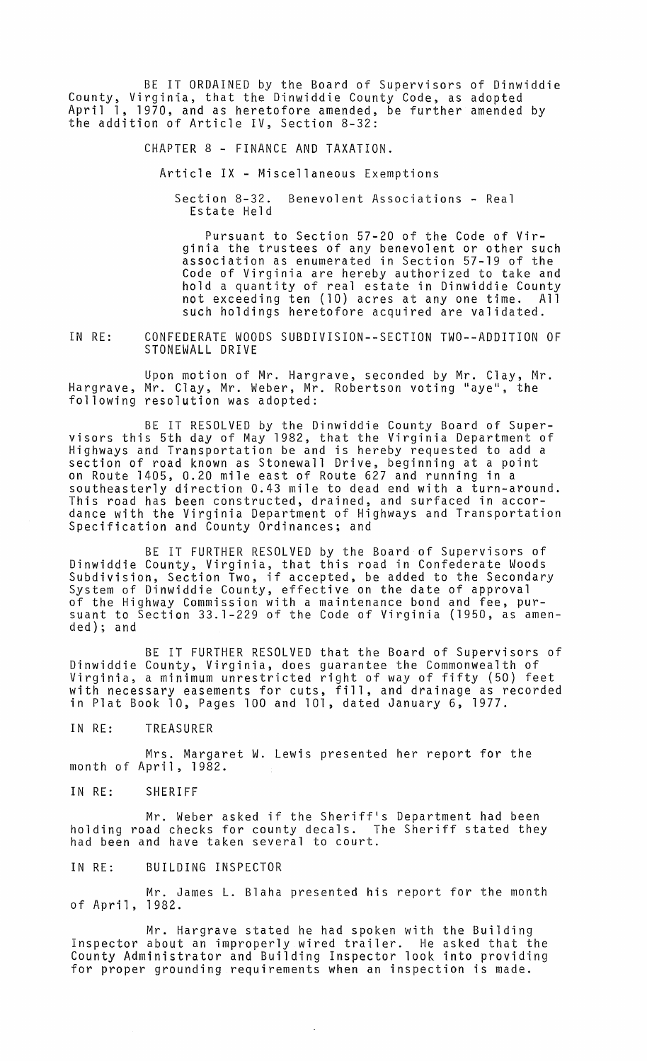BE IT ORDAINED by the Board of Supervisors of Dinwiddie County, Virginia, that the Dinwiddie County Code, as adopted April 1, 1970, and as heretofore amended, be further amended by the addition of Article IV, Section 8-32:

CHAPTER 8 - FINANCE AND TAXATION.

Article IX - Miscellaneous Exemptions

Section 8-32. Benevolent Associations - Real Estate Held

Pursuant to Section 57-20 of the Code of Virginia the trustees of any benevolent or other such association as enumerated in Section 57-19 of the Code of Virginia are hereby authorized to take and hold a quantity of real estate in Dinwiddie County not exceeding ten (10) acres at anyone time. All such holdings heretofore acquired are validated.

IN RE: CONFEDERATE WOODS SUBDIVISION--SECTION TWO--ADDITION OF STONEWALL DRIVE

Upon motion of Mr. Hargrave, seconded by Mr. Clay, Mr. Hargrave, Mr. Clay, Mr. Weber, Mr. Robertson voting "aye", the following resolution was adopted:

BE IT RESOLVED by the Dinwiddie County Board of Super- visors this 5th day of May 1982, that the Virginia Department of Highways and Transportation be and is hereby requested to add a section of road known as Stonewall Drive, beginning at a point on Route 1405, 0.20 mile east of Route 627 and running in a southeasterly direction 0.43 mile to dead end with a turn-around. This road has been constructed, drained, and surfaced in accordance with the Virginia Department of Highways and Transportation Specification and County Ordinances; and

BE IT FURTHER RESOLVED by the Board of Supervisors of Dinwiddie County, Virginia, that this road in Confederate Woods Binwiddie County, Ynlynnid, Endt this rodd in Contederate woods<br>Subdivision, Section Two, if accepted, be added to the Secondary<br>System of Dinwiddie County, effective on the date of approval of the Highway Commission with a maintenance bond and fee, pursuant to Section 33.1-229 of the Code of Virginia (1950, as amended); and

BE IT FURTHER RESOLVED that the Board of Supervisors of Dinwiddie County, Virginia, does guarantee the Commonwealth of Virginia, a minimum unrestricted right of way of fifty (50) feet virginia, a minimum unrescricted right of way of file, (50) leed in Plat Book 10, Pages 100 and 101, dated January 6, 1977.

IN RE: TREASURER

Mrs. Margaret W. Lewis presented her report for the month of April, 1982.

IN RE: SHERIFF

Mr. Weber asked if the Sheriff's Department had been holding road checks for county decals. The Sheriff stated they had been and have taken several to court.

IN RE: BUILDING INSPECTOR

Mr. James **L.** Blaha presented his report for the month of April, 1982.

Mr. Hargrave stated he had spoken with the Building Inspector about an improperly wired trailer. He asked that the County Administrator and Building Inspector look into providing for proper grounding requirements when an inspection is made.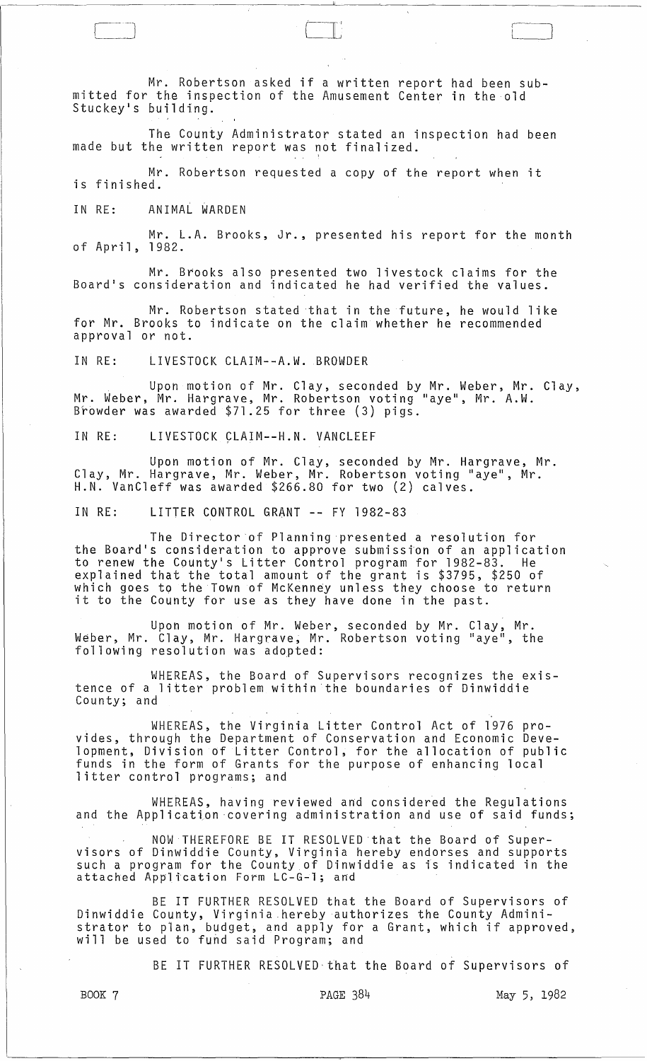Mr. Robertson asked if a written report had been submitted for the inspection of the Amusement Center in the old Stuckey·s building.

.---------------------------"----~--~------~-------

l-' -II:

The County Administrator stated an inspection had been made but the written report was not finalized.

Mr. Robertson requested a copy of the report when it is finished.

IN RE: ANIMAL WARDEN

Mr. L.A. Brooks, Jr., presented his report for the month of April, 1982.

Mr. Brooks also presented two livestock claims for the Board's consideration and indicated he had verified the values.

Mr. Robertson stated that in the future, he would like for Mr. Brooks to indicate on the claim whether he recommended approval or not.

IN RE: LIVESTOCK CLAIM--A.W. BROWDER

Upon motion of Mr. Clay, seconded by Mr. Weber, Mr. Clay, Mr. Weber, Mr. Hargrave, Mr. Robertson voting "aye", Mr. A.W. Browder was awarded \$71.25 for three (3) pigs.

IN RE: LIVESTOCK CLAIM--H.N. VANCLEEF

Upon motion of Mr. Clay, seconded by Mr. Hargrave, Mr. Clay, Mr. Hargrave, Mr. Weber, Mr. Robertson voting "aye", Mr. H.N. VanCleff was awarded \$266.80 for two (2) calves.

IN RE: LITTER CONTROL GRANT -- FY 1982-83

The Director of Planning presented a resolution for the Board's consideration to approve submission of an application to renew the County's Litter Control program for 1982-83. He explained that the total amount of the grant is \$3795, \$250 of which goes to the Town of McKenney unless they choose to return which yoes to the fown of mokeniney unfess they choose to<br>it to the County for use as they have done in the past.

Upon motion of Mr. Weber, seconded by Mr. Clay, Mr. Weber, Mr. Clay, Mr. Hargrave, Mr. Robertson voting "aye", the following resolution was adopted:

WHEREAS, the Board of Supervisors recognizes the existence of a litter problem within the boundaries of Dinwiddie County; and

WHEREAS, the Virginia Litter Control Act of 1976 provides, through the Department of Conservation and Economic Development, Division of Litter Control, for the allocation of public funds in the form of Grants for the purpose of enhancing local litter control programs; and

WHEREAS, having reviewed and considered the Regulations and the Application 'covering administration and use of said funds;

NOW THEREFORE BE IT RESOLVED'that the Board of Super- visors of Dinwiddie County, Virginia hereby endorses and supports such a program for the County of Dinwiddie as is indicated in the attached Application Form LC-G-l; and

BE IT FURTHER RESOLVED that the Board of Supervisors of Dinwiddie County, Virginia,herebyauthorizes the County Administrator to plan, budget, and apply for a Grant, which if approved, will be used to fund said Program; and

BE IT FURTHER RESOLVED that the Board of Supervisors of

BOOK 7 PAGE 384 May 5, 1982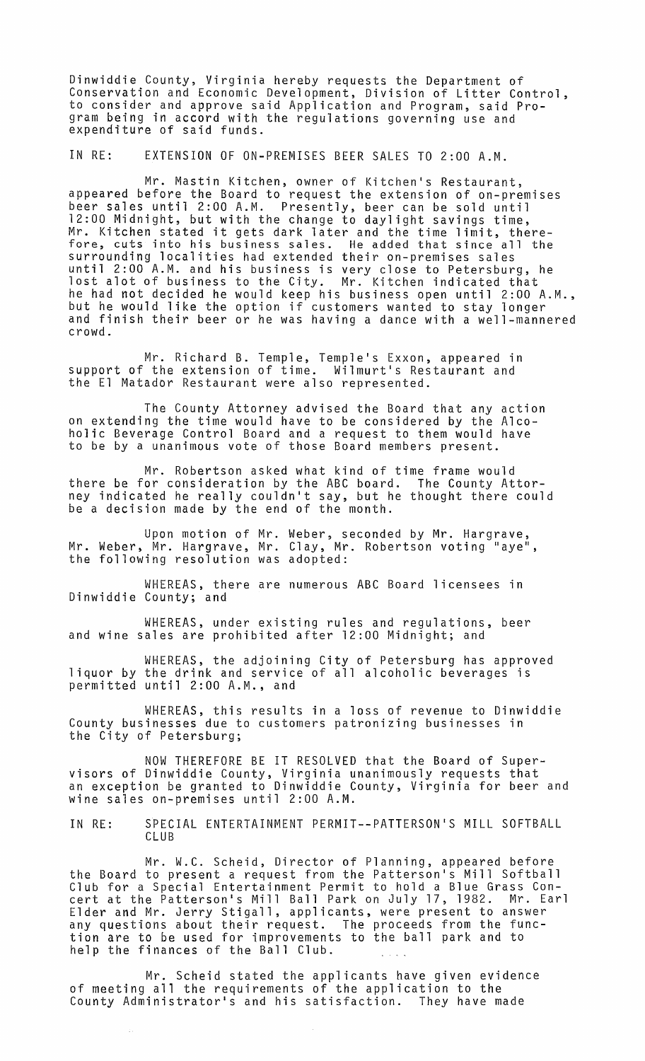Dinwiddie County, Virginia hereby requests the Department of Conservation and Economic Development, Division of Litter Control, to consider and approve said Application and Program, said Program being in accord with the regulations governing use and expenditure of said funds.

IN RE: EXTENSION OF ON-PREMISES BEER SALES TO 2:00 A.M.

Mr. Mastin Kitchen, owner of Kitchen's Restaurant, appeared before the Board to request the extension of on-premises beer sales until 2:00 A.M. Presently, beer can be sold until 12:00 Midnight, but with the change to daylight savings time, Mr. Kitchen stated it gets dark later and the time limit, therefore, cuts into his business sales. He added that since all the surrounding localities had extended their on-premises sales until 2:00 A.M. and his business is very close to Petersburg, he lost alot of business to the City. Mr. Kitchen indicated that he had not decided he would keep his business open until 2:00 A.M., but he would like the option if customers wanted to stay longer and finish their beer or he was having a dance with a well-mannered crowd.

Mr. Richard B. Temple, Temple's Exxon, appeared in support of the extension of time. Wilmurt's Restaurant and the El Matador Restaurant were also represented.

The County Attorney advised the Board that any action on extending the time would have to be considered by the Alcoholic Beverage Control Board and a request to them would have to be by a unanimous vote of those Board members present.

Mr. Robertson asked what kind of time frame would there be for consideration by the ABC board. The County Attorney indicated he really couldn't say, but he thought there could be a decision made by the end of the month.

Upon motion of Mr. Weber, seconded by Mr. Hargrave, Mr. Weber, Mr. Hargrave, Mr. Clay, Mr. Robertson voting "aye", the following resolution was adopted:

WHEREAS, there are numerous ABC Board licensees in Dinwiddie County; and

WHEREAS, under existing rules and regulations, beer and wine sales are prohibited after 12:00 Midnight; and

WHEREAS, the adjoining City of Petersburg has approved liquor by the drink and service of all alcoholic beverages is permitted until 2:00 A.M., and

WHEREAS, this results in a loss of revenue to Dinwiddie County businesses due to customers patronizing businesses in the City of Petersburg;

NOW THEREFORE BE IT RESOLVED that the Board of Supervisors of Dinwiddie County, Virginia unanimously requests that an exception be granted to Dinwiddie County, Virginia for beer and wine sales on-premises until 2:00 A.M.

IN RE: SPECIAL ENTERTAINMENT PERMIT--PATTERSON'S MILL SOFTBALL CLUB

Mr. W.C. Scheid, Director of Planning, appeared before the Board to present a request from the Patterson's Mill Softball Club for a Special Entertainment Permit to hold a Blue Grass Concert at the Patterson's Mill Ball Park on July 17, 1982. Mr. Earl Elder and Mr. Jerry Stigall, applicants, were present to answer any questions about their request. The proceeds from the function are to be used for improvements to the ball park and to help the finances of the Ball Club.

Mr. Scheid stated the applicants have given evidence of meeting all the requirements of the application to the County Administrator's and his satisfaction. They have made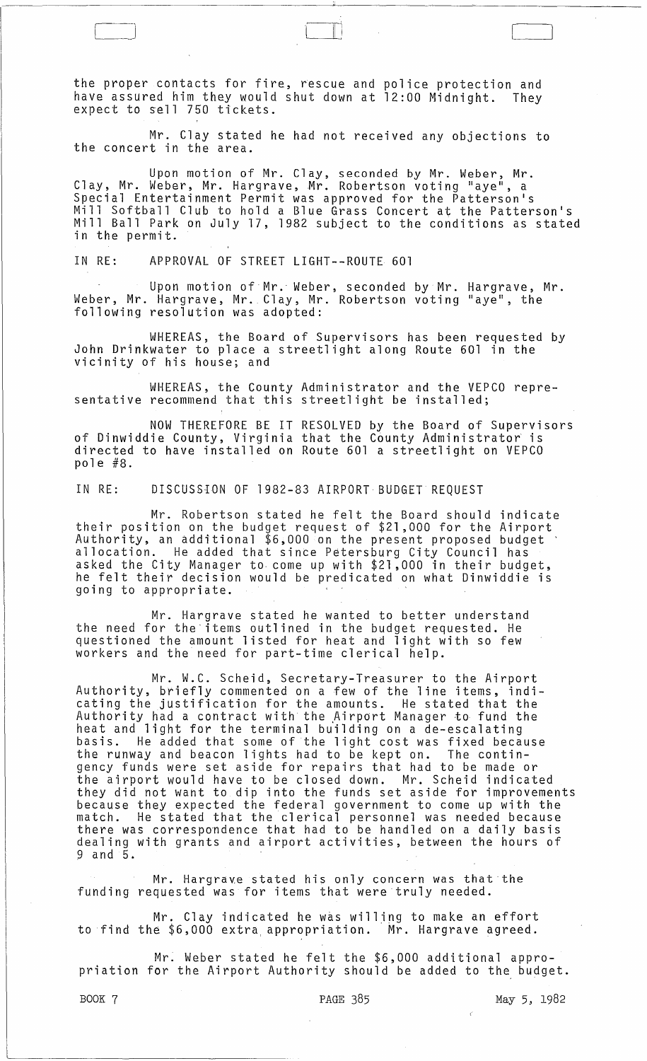the proper contacts for fire, rescue and police protection and have assured him they would shut down at 12:00 Midnight. They expect to sell 750 tickets.

Mr. Clay stated he had not received any objections to the concert in the area.

Upon motion of Mr. Clay, seconded by Mr. Weber, Mr. Clay, Mr. Weber, Mr. Hargrave, Mr. Robertson voting "aye", a Special Entertainment Permit was approved for the Patterson's Mill Softball Club to hold a Blue Grass Concert at the Patterson's Mill Ball Park on July 17, 1982 subject to the conditions as stated in the permit.

IN RE: APPROVAL OF STREET LIGHT--ROUTE 601

C-]

Upon motion of Mr. Weber, seconded by Mr. Hargrave, Mr. Weber, Mr. Hargrave, Mr. Clay, Mr. Robertson voting "aye", the following resolution was adopted:

WHEREAS, the Board of Supervisors has been requested by<br>John Drinkwater to place a streetlight along Route 601 in the vicinity of his house; and

WHEREAS, the County Administrator and the VEPCO representative recommend that this streetlight be installed;

NOW THEREFORE BE IT RESOLVED by the Board of Supervisors of Dinwiddie County, Virginia that the County Administrator is directed to have installed on Route 601 a streetlight on VEPCO pole #8.

IN RE: DISCUSS10N OF 1982-83 AIRPORT BUDGET REQUEST

Mr. Robertson stated he felt the Board should indicate their position on the budget request of \$21,000 for the Airport Authority, an additional \$6,000 on the present proposed budget ' Authority, an additional \$6,000 on the present proposed budget<br>allocation. He added that since Petersburg City Council has asked the City Manager to, come up with \$21,000 in their budget, he felt their decision would be predicated on what Dinwiddie is going to appropriate.

Mr. Hargrave stated he wanted to better understand the need for the'items outlined in the budget requested. He questioned the amount listed for heat and light with so few workers and the need for part-time clerical help.

Mr. W.C. Scheid, Secretary-Treasurer to the Airport Authority, briefly commented on a few of the line items, indicating the justification for the amounts. He stated that the Authority had a contract with the ,Airport Manager to fund the heat and light for the terminal building on a de-escalating basis. He added that some of the light cost was fixed because the runway and beacon lights had to be kept on. The continthe runway and beacon lights had to be kept on. The contin-<br>gency funds were set aside for repairs that had to be made or the airport would have to be closed down. Mr. Scheid indicated they did not want to dip into the funds set aside for improvements because they expected the federal government to come up with the match. He stated that the clerical personnel was needed because there was correspondence that had to be handled on a daily basis dealing with grants and airport activities, between the hours of 9 and 5.

Mr. Hargrave stated his only concern was that the funding requested was for items that were truly needed.

Mr. Clay indicated he was willing to make an effort to find the \$6,000 extra, appropriation. Mr. Hargrave agreed.

 $Mr.$  Weber stated he felt the  $$6,000$  additional appropriation for the Airport Authority should be added to the budget.